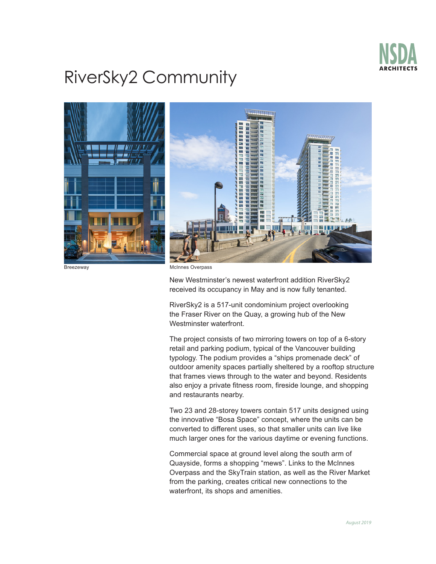

## RiverSky2 Community



Breezeway McInnes Overpass

New Westminster's newest waterfront addition RiverSky2 received its occupancy in May and is now fully tenanted.

RiverSky2 is a 517-unit condominium project overlooking the Fraser River on the Quay, a growing hub of the New Westminster waterfront.

The project consists of two mirroring towers on top of a 6-story retail and parking podium, typical of the Vancouver building typology. The podium provides a "ships promenade deck" of outdoor amenity spaces partially sheltered by a rooftop structure that frames views through to the water and beyond. Residents also enjoy a private fitness room, fireside lounge, and shopping and restaurants nearby.

Two 23 and 28-storey towers contain 517 units designed using the innovative "Bosa Space" concept, where the units can be converted to different uses, so that smaller units can live like much larger ones for the various daytime or evening functions.

Commercial space at ground level along the south arm of Quayside, forms a shopping "mews". Links to the McInnes Overpass and the SkyTrain station, as well as the River Market from the parking, creates critical new connections to the waterfront, its shops and amenities.